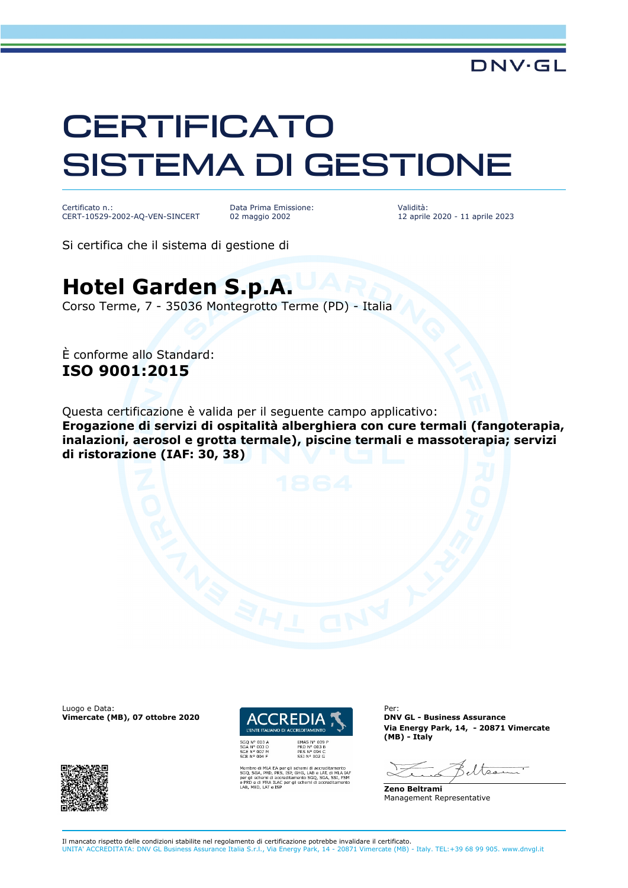## **CERTIFICATO** SISTEMA DI GESTIONE

Certificato n.: CERT-10529-2002-AQ-VEN-SINCERT Data Prima Emissione: 02 maggio 2002

Validità: 12 aprile 2020 - 11 aprile 2023

Si certifica che il sistema di gestione di

## **Hotel Garden S.p.A.**

Corso Terme, 7 - 35036 Montegrotto Terme (PD) - Italia

È conforme allo Standard: **ISO 9001:2015**

Questa certificazione è valida per il seguente campo applicativo: **Erogazione di servizi di ospitalità alberghiera con cure termali (fangoterapia, inalazioni, aerosol e grotta termale), piscine termali e massoterapia; servizi di ristorazione (IAF: 30, 38)**

Luogo e Data:<br>
Vimercate (MB). 07 ottobre 2020 **ACCREDIA 1** DNV GL - Business Assurance **Vimercate (MB), 07 ottobre 2020** 





HG, LAB e LAT, di M<br>ento SGQ, SGA, SS<br>schemi di accredita

**Via Energy Park, 14, - 20871 Vimercate (MB) - Italy**

eltser

**Zeno Beltrami** Management Representative

Il mancato rispetto delle condizioni stabilite nel regolamento di certificazione potrebbe invalidare il certificato. UNITA' ACCREDITATA: DNV GL Business Assurance Italia S.r.l., Via Energy Park, 14 - 20871 Vimercate (MB) - Italy. TEL:+39 68 99 905. www.dnvgl.it